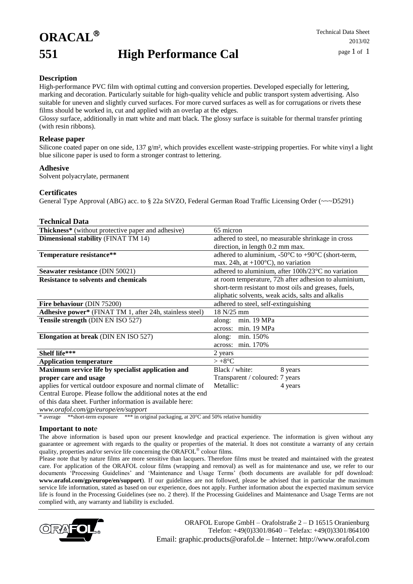## **ORACAL 551 High Performance Cal**

### **Description**

High-performance PVC film with optimal cutting and conversion properties. Developed especially for lettering, marking and decoration. Particularly suitable for high-quality vehicle and public transport system advertising. Also suitable for uneven and slightly curved surfaces. For more curved surfaces as well as for corrugations or rivets these films should be worked in, cut and applied with an overlap at the edges.

Glossy surface, additionally in matt white and matt black. The glossy surface is suitable for thermal transfer printing (with resin ribbons).

#### **Release paper**

Silicone coated paper on one side, 137 g/m², which provides excellent waste-stripping properties. For white vinyl a light blue silicone paper is used to form a stronger contrast to lettering.

#### **Adhesive**

Solvent polyacrylate, permanent

#### **Certificates**

General Type Approval (ABG) acc. to § 22a StVZO, Federal German Road Traffic Licensing Order (~~~D5291)

#### **Technical Data**

| <b>Thickness*</b> (without protective paper and adhesive)     | 65 micron                                                                       |
|---------------------------------------------------------------|---------------------------------------------------------------------------------|
| <b>Dimensional stability (FINAT TM 14)</b>                    | adhered to steel, no measurable shrinkage in cross                              |
|                                                               | direction, in length 0.2 mm max.                                                |
| Temperature resistance**                                      | adhered to aluminium, -50 $\rm{^{\circ}C}$ to +90 $\rm{^{\circ}C}$ (short-term, |
|                                                               | max. 24h, at $+100^{\circ}$ C), no variation                                    |
| Seawater resistance (DIN 50021)                               | adhered to aluminium, after 100h/23°C no variation                              |
| <b>Resistance to solvents and chemicals</b>                   | at room temperature, 72h after adhesion to aluminium,                           |
|                                                               | short-term resistant to most oils and greases, fuels,                           |
|                                                               | aliphatic solvents, weak acids, salts and alkalis                               |
| Fire behaviour (DIN 75200)                                    | adhered to steel, self-extinguishing                                            |
| Adhesive power* (FINAT TM 1, after 24h, stainless steel)      | 18 N/25 mm                                                                      |
| Tensile strength (DIN EN ISO 527)                             | min. 19 MPa<br>along:                                                           |
|                                                               | min. 19 MPa<br>across:                                                          |
| <b>Elongation at break</b> (DIN EN ISO 527)                   | min. 150%<br>along:                                                             |
|                                                               | min. 170%<br>across:                                                            |
| <b>Shelf life***</b>                                          | 2 years                                                                         |
| <b>Application temperature</b>                                | $> +8$ °C                                                                       |
| Maximum service life by specialist application and            | Black / white:<br>8 years                                                       |
| proper care and usage                                         | Transparent / coloured: 7 years                                                 |
| applies for vertical outdoor exposure and normal climate of   | Metallic:<br>4 years                                                            |
| Central Europe. Please follow the additional notes at the end |                                                                                 |
| of this data sheet. Further information is available here:    |                                                                                 |
| www.orafol.com/gp/europe/en/support                           |                                                                                 |

\* average \*\*short-term exposure \*\*\* in original packaging, at 20°C and 50% relative humidity

#### **Important to not**e

The above information is based upon our present knowledge and practical experience. The information is given without any guarantee or agreement with regards to the quality or properties of the material. It does not constitute a warranty of any certain quality, properties and/or service life concerning the ORAFOL® colour films.

Please note that by nature films are more sensitive than lacquers. Therefore films must be treated and maintained with the greatest care. For application of the ORAFOL colour films (wrapping and removal) as well as for maintenance and use, we refer to our documents 'Processing Guidelines' and 'Maintenance and Usage Terms' (both documents are available for pdf download: **www.orafol.com/gp/europe/en/support**). If our guidelines are not followed, please be advised that in particular the maximum service life information, stated as based on our experience, does not apply. Further information about the expected maximum service life is found in the Processing Guidelines (see no. 2 there). If the Processing Guidelines and Maintenance and Usage Terms are not complied with, any warranty and liability is excluded.



ORAFOL Europe GmbH – Orafolstraße 2 – D 16515 Oranienburg Telefon: +49(0)3301/8640 – Telefax: +49(0)3301/864100 Email: graphic.products@orafol.de – Internet: http://www.orafol.com